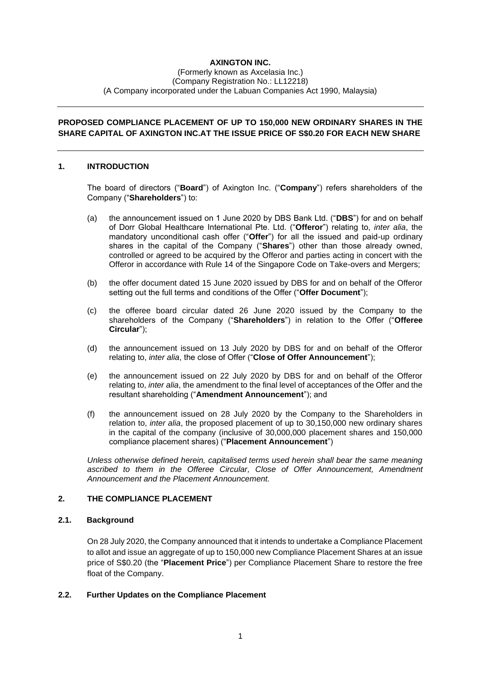# **AXINGTON INC.**

#### (Formerly known as Axcelasia Inc.) (Company Registration No.: LL12218) (A Company incorporated under the Labuan Companies Act 1990, Malaysia)

# **PROPOSED COMPLIANCE PLACEMENT OF UP TO 150,000 NEW ORDINARY SHARES IN THE SHARE CAPITAL OF AXINGTON INC.AT THE ISSUE PRICE OF S\$0.20 FOR EACH NEW SHARE**

### **1. INTRODUCTION**

The board of directors ("**Board**") of Axington Inc. ("**Company**") refers shareholders of the Company ("**Shareholders**") to:

- (a) the announcement issued on 1 June 2020 by DBS Bank Ltd. ("**DBS**") for and on behalf of Dorr Global Healthcare International Pte. Ltd. ("**Offeror**") relating to, *inter alia*, the mandatory unconditional cash offer ("**Offer**") for all the issued and paid-up ordinary shares in the capital of the Company ("**Shares**") other than those already owned, controlled or agreed to be acquired by the Offeror and parties acting in concert with the Offeror in accordance with Rule 14 of the Singapore Code on Take-overs and Mergers;
- (b) the offer document dated 15 June 2020 issued by DBS for and on behalf of the Offeror setting out the full terms and conditions of the Offer ("**Offer Document**");
- (c) the offeree board circular dated 26 June 2020 issued by the Company to the shareholders of the Company ("**Shareholders**") in relation to the Offer ("**Offeree Circular**");
- (d) the announcement issued on 13 July 2020 by DBS for and on behalf of the Offeror relating to, *inter alia*, the close of Offer ("**Close of Offer Announcement**");
- (e) the announcement issued on 22 July 2020 by DBS for and on behalf of the Offeror relating to, *inter alia*, the amendment to the final level of acceptances of the Offer and the resultant shareholding ("**Amendment Announcement**"); and
- (f) the announcement issued on 28 July 2020 by the Company to the Shareholders in relation to, *inter alia*, the proposed placement of up to 30,150,000 new ordinary shares in the capital of the company (inclusive of 30,000,000 placement shares and 150,000 compliance placement shares) ("**Placement Announcement**")

*Unless otherwise defined herein, capitalised terms used herein shall bear the same meaning ascribed to them in the Offeree Circular, Close of Offer Announcement, Amendment Announcement and the Placement Announcement.*

### **2. THE COMPLIANCE PLACEMENT**

## **2.1. Background**

On 28 July 2020, the Company announced that it intends to undertake a Compliance Placement to allot and issue an aggregate of up to 150,000 new Compliance Placement Shares at an issue price of S\$0.20 (the "**Placement Price**") per Compliance Placement Share to restore the free float of the Company.

#### **2.2. Further Updates on the Compliance Placement**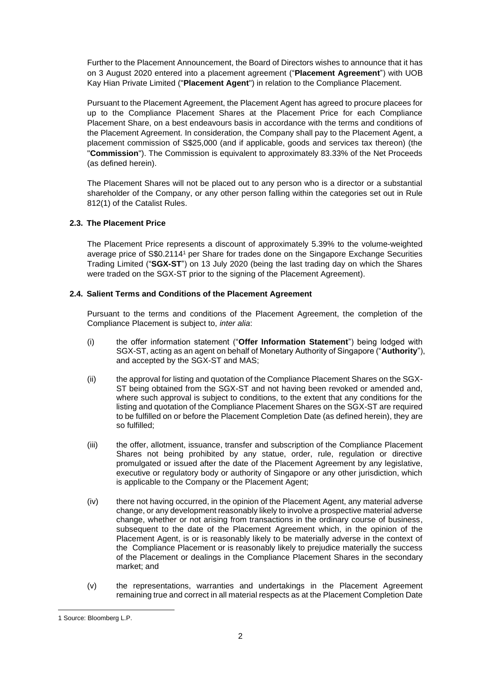Further to the Placement Announcement, the Board of Directors wishes to announce that it has on 3 August 2020 entered into a placement agreement ("**Placement Agreement**") with UOB Kay Hian Private Limited ("**Placement Agent**") in relation to the Compliance Placement.

Pursuant to the Placement Agreement, the Placement Agent has agreed to procure placees for up to the Compliance Placement Shares at the Placement Price for each Compliance Placement Share, on a best endeavours basis in accordance with the terms and conditions of the Placement Agreement. In consideration, the Company shall pay to the Placement Agent, a placement commission of S\$25,000 (and if applicable, goods and services tax thereon) (the "**Commission**"). The Commission is equivalent to approximately 83.33% of the Net Proceeds (as defined herein).

The Placement Shares will not be placed out to any person who is a director or a substantial shareholder of the Company, or any other person falling within the categories set out in Rule 812(1) of the Catalist Rules.

## **2.3. The Placement Price**

The Placement Price represents a discount of approximately 5.39% to the volume-weighted average price of S\$0.2114<sup>1</sup> per Share for trades done on the Singapore Exchange Securities Trading Limited ("**SGX-ST**") on 13 July 2020 (being the last trading day on which the Shares were traded on the SGX-ST prior to the signing of the Placement Agreement).

### **2.4. Salient Terms and Conditions of the Placement Agreement**

Pursuant to the terms and conditions of the Placement Agreement, the completion of the Compliance Placement is subject to, *inter alia*:

- (i) the offer information statement ("**Offer Information Statement**") being lodged with SGX-ST, acting as an agent on behalf of Monetary Authority of Singapore ("**Authority**"), and accepted by the SGX-ST and MAS;
- (ii) the approval for listing and quotation of the Compliance Placement Shares on the SGX-ST being obtained from the SGX-ST and not having been revoked or amended and, where such approval is subject to conditions, to the extent that any conditions for the listing and quotation of the Compliance Placement Shares on the SGX-ST are required to be fulfilled on or before the Placement Completion Date (as defined herein), they are so fulfilled;
- (iii) the offer, allotment, issuance, transfer and subscription of the Compliance Placement Shares not being prohibited by any statue, order, rule, regulation or directive promulgated or issued after the date of the Placement Agreement by any legislative, executive or regulatory body or authority of Singapore or any other jurisdiction, which is applicable to the Company or the Placement Agent;
- (iv) there not having occurred, in the opinion of the Placement Agent, any material adverse change, or any development reasonably likely to involve a prospective material adverse change, whether or not arising from transactions in the ordinary course of business, subsequent to the date of the Placement Agreement which, in the opinion of the Placement Agent, is or is reasonably likely to be materially adverse in the context of the Compliance Placement or is reasonably likely to prejudice materially the success of the Placement or dealings in the Compliance Placement Shares in the secondary market; and
- (v) the representations, warranties and undertakings in the Placement Agreement remaining true and correct in all material respects as at the Placement Completion Date

<sup>1</sup> Source: Bloomberg L.P.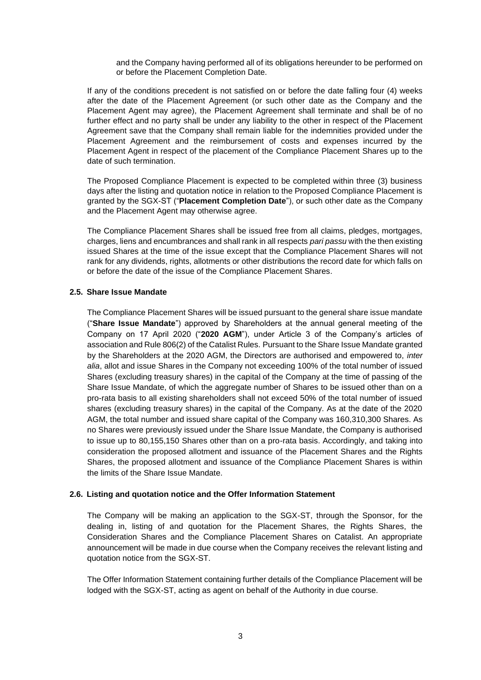and the Company having performed all of its obligations hereunder to be performed on or before the Placement Completion Date.

If any of the conditions precedent is not satisfied on or before the date falling four (4) weeks after the date of the Placement Agreement (or such other date as the Company and the Placement Agent may agree), the Placement Agreement shall terminate and shall be of no further effect and no party shall be under any liability to the other in respect of the Placement Agreement save that the Company shall remain liable for the indemnities provided under the Placement Agreement and the reimbursement of costs and expenses incurred by the Placement Agent in respect of the placement of the Compliance Placement Shares up to the date of such termination.

The Proposed Compliance Placement is expected to be completed within three (3) business days after the listing and quotation notice in relation to the Proposed Compliance Placement is granted by the SGX-ST ("**Placement Completion Date**"), or such other date as the Company and the Placement Agent may otherwise agree.

The Compliance Placement Shares shall be issued free from all claims, pledges, mortgages, charges, liens and encumbrances and shall rank in all respects *pari passu* with the then existing issued Shares at the time of the issue except that the Compliance Placement Shares will not rank for any dividends, rights, allotments or other distributions the record date for which falls on or before the date of the issue of the Compliance Placement Shares.

#### **2.5. Share Issue Mandate**

The Compliance Placement Shares will be issued pursuant to the general share issue mandate ("**Share Issue Mandate**") approved by Shareholders at the annual general meeting of the Company on 17 April 2020 ("**2020 AGM**"), under Article 3 of the Company's articles of association and Rule 806(2) of the Catalist Rules. Pursuant to the Share Issue Mandate granted by the Shareholders at the 2020 AGM, the Directors are authorised and empowered to, *inter alia*, allot and issue Shares in the Company not exceeding 100% of the total number of issued Shares (excluding treasury shares) in the capital of the Company at the time of passing of the Share Issue Mandate, of which the aggregate number of Shares to be issued other than on a pro-rata basis to all existing shareholders shall not exceed 50% of the total number of issued shares (excluding treasury shares) in the capital of the Company. As at the date of the 2020 AGM, the total number and issued share capital of the Company was 160,310,300 Shares. As no Shares were previously issued under the Share Issue Mandate, the Company is authorised to issue up to 80,155,150 Shares other than on a pro-rata basis. Accordingly, and taking into consideration the proposed allotment and issuance of the Placement Shares and the Rights Shares, the proposed allotment and issuance of the Compliance Placement Shares is within the limits of the Share Issue Mandate.

## **2.6. Listing and quotation notice and the Offer Information Statement**

The Company will be making an application to the SGX-ST, through the Sponsor, for the dealing in, listing of and quotation for the Placement Shares, the Rights Shares, the Consideration Shares and the Compliance Placement Shares on Catalist. An appropriate announcement will be made in due course when the Company receives the relevant listing and quotation notice from the SGX-ST.

The Offer Information Statement containing further details of the Compliance Placement will be lodged with the SGX-ST, acting as agent on behalf of the Authority in due course.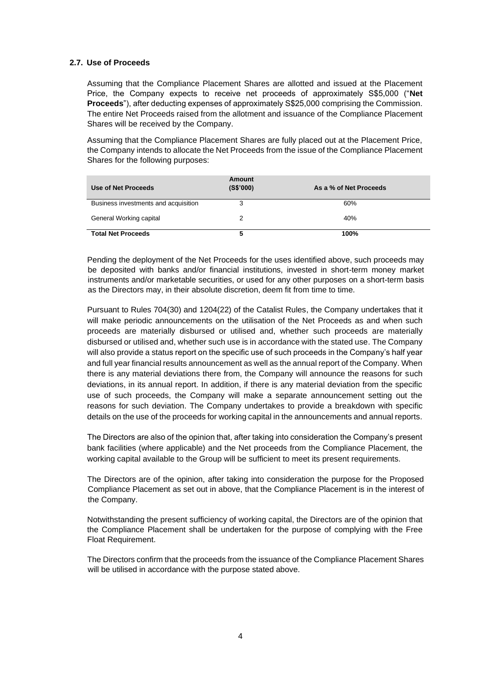### **2.7. Use of Proceeds**

Assuming that the Compliance Placement Shares are allotted and issued at the Placement Price, the Company expects to receive net proceeds of approximately S\$5,000 ("**Net Proceeds**"), after deducting expenses of approximately S\$25,000 comprising the Commission. The entire Net Proceeds raised from the allotment and issuance of the Compliance Placement Shares will be received by the Company.

Assuming that the Compliance Placement Shares are fully placed out at the Placement Price, the Company intends to allocate the Net Proceeds from the issue of the Compliance Placement Shares for the following purposes:

| Use of Net Proceeds                  | Amount<br>(S\$'000) | As a % of Net Proceeds |
|--------------------------------------|---------------------|------------------------|
| Business investments and acquisition | 3                   | 60%                    |
| General Working capital              | 2                   | 40%                    |
| <b>Total Net Proceeds</b>            | 5                   | 100%                   |

Pending the deployment of the Net Proceeds for the uses identified above, such proceeds may be deposited with banks and/or financial institutions, invested in short-term money market instruments and/or marketable securities, or used for any other purposes on a short-term basis as the Directors may, in their absolute discretion, deem fit from time to time.

Pursuant to Rules 704(30) and 1204(22) of the Catalist Rules, the Company undertakes that it will make periodic announcements on the utilisation of the Net Proceeds as and when such proceeds are materially disbursed or utilised and, whether such proceeds are materially disbursed or utilised and, whether such use is in accordance with the stated use. The Company will also provide a status report on the specific use of such proceeds in the Company's half year and full year financial results announcement as well as the annual report of the Company. When there is any material deviations there from, the Company will announce the reasons for such deviations, in its annual report. In addition, if there is any material deviation from the specific use of such proceeds, the Company will make a separate announcement setting out the reasons for such deviation. The Company undertakes to provide a breakdown with specific details on the use of the proceeds for working capital in the announcements and annual reports.

The Directors are also of the opinion that, after taking into consideration the Company's present bank facilities (where applicable) and the Net proceeds from the Compliance Placement, the working capital available to the Group will be sufficient to meet its present requirements.

The Directors are of the opinion, after taking into consideration the purpose for the Proposed Compliance Placement as set out in above, that the Compliance Placement is in the interest of the Company.

Notwithstanding the present sufficiency of working capital, the Directors are of the opinion that the Compliance Placement shall be undertaken for the purpose of complying with the Free Float Requirement.

The Directors confirm that the proceeds from the issuance of the Compliance Placement Shares will be utilised in accordance with the purpose stated above.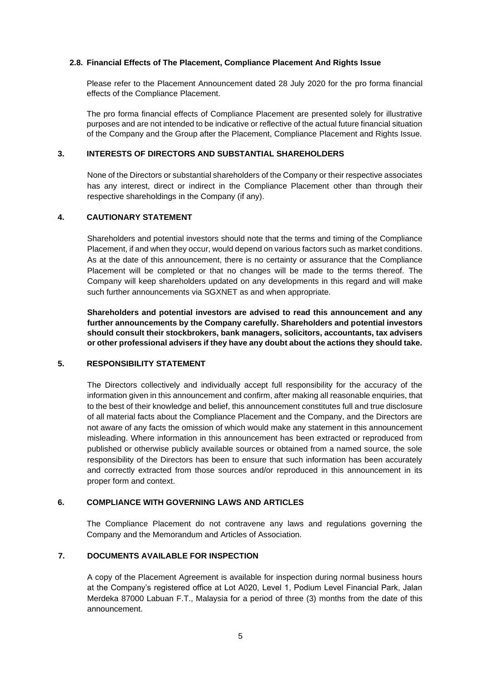### **2.8. Financial Effects of The Placement, Compliance Placement And Rights Issue**

Please refer to the Placement Announcement dated 28 July 2020 for the pro forma financial effects of the Compliance Placement.

The pro forma financial effects of Compliance Placement are presented solely for illustrative purposes and are not intended to be indicative or reflective of the actual future financial situation of the Company and the Group after the Placement, Compliance Placement and Rights Issue.

### **3. INTERESTS OF DIRECTORS AND SUBSTANTIAL SHAREHOLDERS**

None of the Directors or substantial shareholders of the Company or their respective associates has any interest, direct or indirect in the Compliance Placement other than through their respective shareholdings in the Company (if any).

### **4. CAUTIONARY STATEMENT**

Shareholders and potential investors should note that the terms and timing of the Compliance Placement, if and when they occur, would depend on various factors such as market conditions. As at the date of this announcement, there is no certainty or assurance that the Compliance Placement will be completed or that no changes will be made to the terms thereof. The Company will keep shareholders updated on any developments in this regard and will make such further announcements via SGXNET as and when appropriate.

**Shareholders and potential investors are advised to read this announcement and any further announcements by the Company carefully. Shareholders and potential investors should consult their stockbrokers, bank managers, solicitors, accountants, tax advisers or other professional advisers if they have any doubt about the actions they should take.**

#### **5. RESPONSIBILITY STATEMENT**

The Directors collectively and individually accept full responsibility for the accuracy of the information given in this announcement and confirm, after making all reasonable enquiries, that to the best of their knowledge and belief, this announcement constitutes full and true disclosure of all material facts about the Compliance Placement and the Company, and the Directors are not aware of any facts the omission of which would make any statement in this announcement misleading. Where information in this announcement has been extracted or reproduced from published or otherwise publicly available sources or obtained from a named source, the sole responsibility of the Directors has been to ensure that such information has been accurately and correctly extracted from those sources and/or reproduced in this announcement in its proper form and context.

## **6. COMPLIANCE WITH GOVERNING LAWS AND ARTICLES**

The Compliance Placement do not contravene any laws and regulations governing the Company and the Memorandum and Articles of Association.

# **7. DOCUMENTS AVAILABLE FOR INSPECTION**

A copy of the Placement Agreement is available for inspection during normal business hours at the Company's registered office at Lot A020, Level 1, Podium Level Financial Park, Jalan Merdeka 87000 Labuan F.T., Malaysia for a period of three (3) months from the date of this announcement.